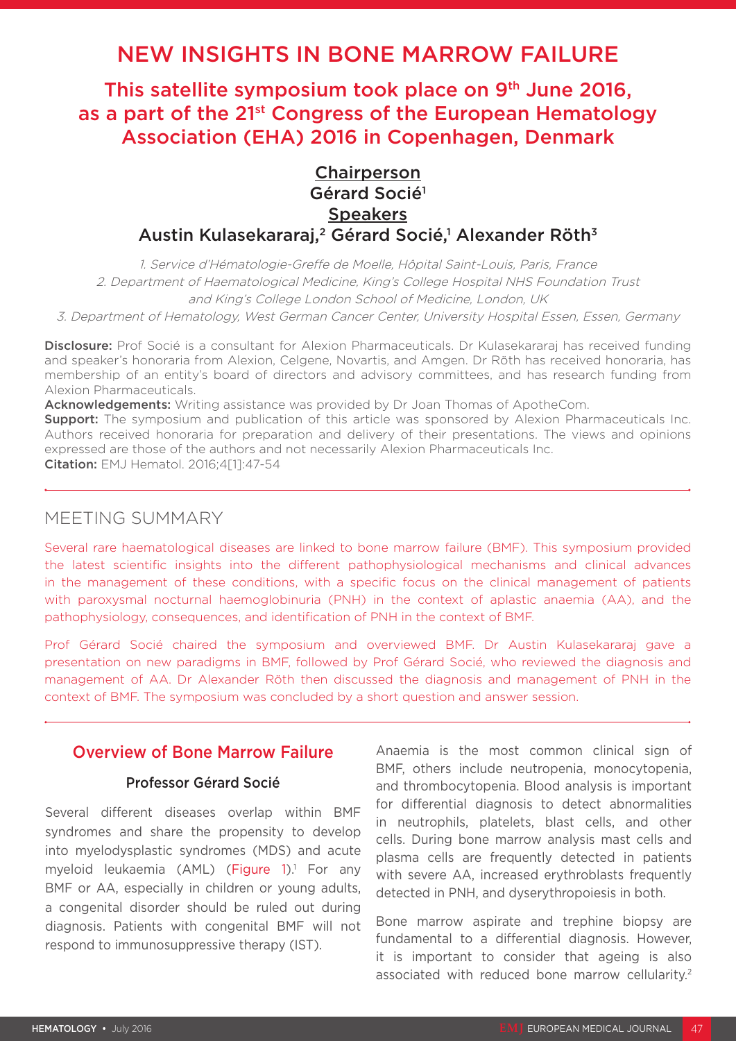# NEW INSIGHTS IN BONE MARROW FAILURE

This satellite symposium took place on 9<sup>th</sup> June 2016, as a part of the 21<sup>st</sup> Congress of the European Hematology Association (EHA) 2016 in Copenhagen, Denmark

## Chairperson Gérard Socié1 **Speakers** Austin Kulasekararaj,<sup>2</sup> Gérard Socié,<sup>1</sup> Alexander Röth<sup>3</sup>

1. Service d'Hématologie-Greffe de Moelle, Hôpital Saint-Louis, Paris, France 2. Department of Haematological Medicine, King's College Hospital NHS Foundation Trust and King's College London School of Medicine, London, UK

3. Department of Hematology, West German Cancer Center, University Hospital Essen, Essen, Germany

Disclosure: Prof Socié is a consultant for Alexion Pharmaceuticals. Dr Kulasekararaj has received funding and speaker's honoraria from Alexion, Celgene, Novartis, and Amgen. Dr Röth has received honoraria, has membership of an entity's board of directors and advisory committees, and has research funding from Alexion Pharmaceuticals.

Acknowledgements: Writing assistance was provided by Dr Joan Thomas of ApotheCom.

**Support:** The symposium and publication of this article was sponsored by Alexion Pharmaceuticals Inc. Authors received honoraria for preparation and delivery of their presentations. The views and opinions expressed are those of the authors and not necessarily Alexion Pharmaceuticals Inc. Citation: EMJ Hematol. 2016;4[1]:47-54

## MEETING SUMMARY

Several rare haematological diseases are linked to bone marrow failure (BMF). This symposium provided the latest scientific insights into the different pathophysiological mechanisms and clinical advances in the management of these conditions, with a specific focus on the clinical management of patients with paroxysmal nocturnal haemoglobinuria (PNH) in the context of aplastic anaemia (AA), and the pathophysiology, consequences, and identification of PNH in the context of BMF.

Prof Gérard Socié chaired the symposium and overviewed BMF. Dr Austin Kulasekararaj gave a presentation on new paradigms in BMF, followed by Prof Gérard Socié, who reviewed the diagnosis and management of AA. Dr Alexander Röth then discussed the diagnosis and management of PNH in the context of BMF. The symposium was concluded by a short question and answer session.

## Overview of Bone Marrow Failure

### Professor Gérard Socié

Several different diseases overlap within BMF syndromes and share the propensity to develop into myelodysplastic syndromes (MDS) and acute myeloid leukaemia (AML) (Figure 1).<sup>1</sup> For any BMF or AA, especially in children or young adults, a congenital disorder should be ruled out during diagnosis. Patients with congenital BMF will not respond to immunosuppressive therapy (IST).

Anaemia is the most common clinical sign of BMF, others include neutropenia, monocytopenia, and thrombocytopenia. Blood analysis is important for differential diagnosis to detect abnormalities in neutrophils, platelets, blast cells, and other cells. During bone marrow analysis mast cells and plasma cells are frequently detected in patients with severe AA, increased erythroblasts frequently detected in PNH, and dyserythropoiesis in both.

Bone marrow aspirate and trephine biopsy are fundamental to a differential diagnosis. However, it is important to consider that ageing is also associated with reduced bone marrow cellularity.<sup>2</sup>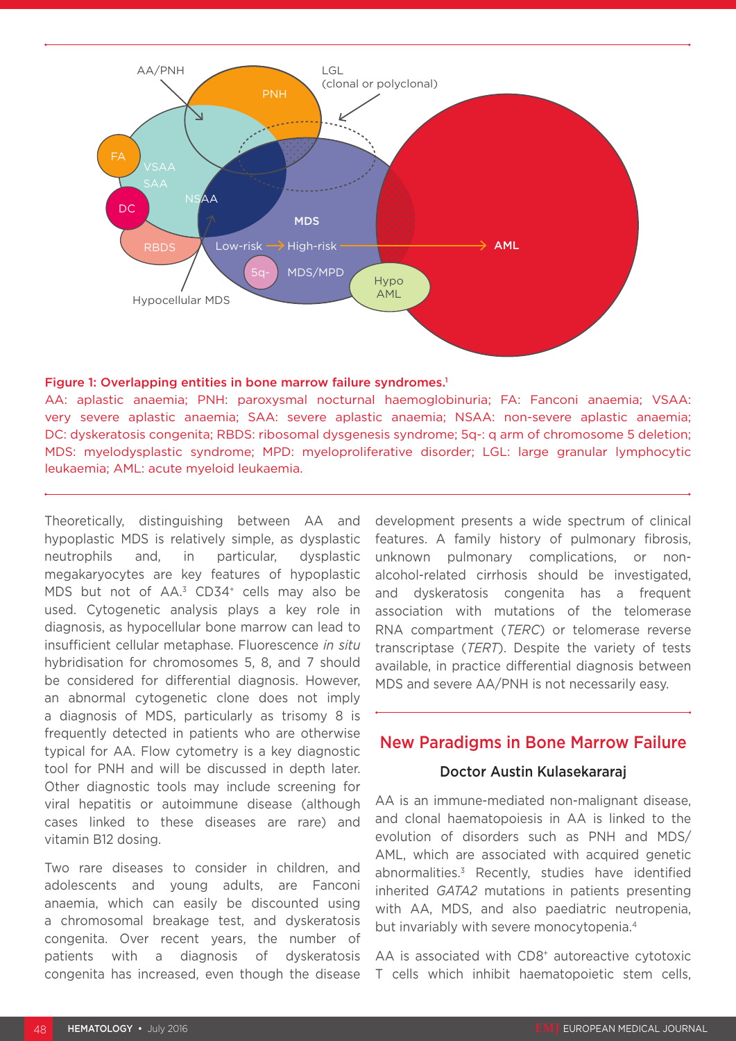

#### Figure 1: Overlapping entities in bone marrow failure syndromes.<sup>1</sup>

AA: aplastic anaemia; PNH: paroxysmal nocturnal haemoglobinuria; FA: Fanconi anaemia; VSAA: very severe aplastic anaemia; SAA: severe aplastic anaemia; NSAA: non-severe aplastic anaemia; DC: dyskeratosis congenita; RBDS: ribosomal dysgenesis syndrome; 5q-: q arm of chromosome 5 deletion; MDS: myelodysplastic syndrome; MPD: myeloproliferative disorder; LGL: large granular lymphocytic leukaemia; AML: acute myeloid leukaemia.

Theoretically, distinguishing between AA and hypoplastic MDS is relatively simple, as dysplastic neutrophils and, in particular, dysplastic megakaryocytes are key features of hypoplastic MDS but not of AA.<sup>3</sup> CD34<sup>+</sup> cells may also be used. Cytogenetic analysis plays a key role in diagnosis, as hypocellular bone marrow can lead to insufficient cellular metaphase. Fluorescence *in situ* hybridisation for chromosomes 5, 8, and 7 should be considered for differential diagnosis. However, an abnormal cytogenetic clone does not imply a diagnosis of MDS, particularly as trisomy 8 is frequently detected in patients who are otherwise typical for AA. Flow cytometry is a key diagnostic tool for PNH and will be discussed in depth later. Other diagnostic tools may include screening for viral hepatitis or autoimmune disease (although cases linked to these diseases are rare) and vitamin B12 dosing.

Two rare diseases to consider in children, and adolescents and young adults, are Fanconi anaemia, which can easily be discounted using a chromosomal breakage test, and dyskeratosis congenita. Over recent years, the number of patients with a diagnosis of dyskeratosis congenita has increased, even though the disease

development presents a wide spectrum of clinical features. A family history of pulmonary fibrosis, unknown pulmonary complications, or nonalcohol-related cirrhosis should be investigated, and dyskeratosis congenita has a frequent association with mutations of the telomerase RNA compartment (*TERC*) or telomerase reverse transcriptase (*TERT*). Despite the variety of tests available, in practice differential diagnosis between MDS and severe AA/PNH is not necessarily easy.

### New Paradigms in Bone Marrow Failure

#### Doctor Austin Kulasekararaj

AA is an immune-mediated non-malignant disease, and clonal haematopoiesis in AA is linked to the evolution of disorders such as PNH and MDS/ AML, which are associated with acquired genetic abnormalities.3 Recently, studies have identified inherited *GATA2* mutations in patients presenting with AA, MDS, and also paediatric neutropenia, but invariably with severe monocytopenia.<sup>4</sup>

AA is associated with CD8<sup>+</sup> autoreactive cytotoxic T cells which inhibit haematopoietic stem cells,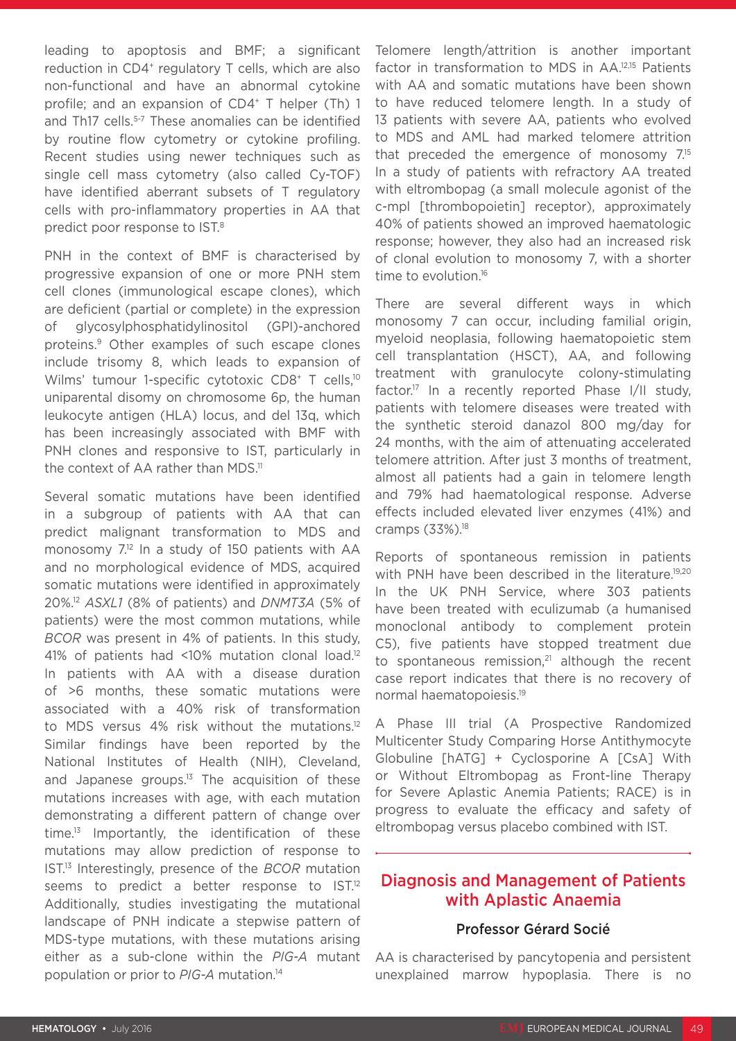leading to apoptosis and BMF; a significant reduction in CD4<sup>+</sup> regulatory T cells, which are also non-functional and have an abnormal cytokine profile; and an expansion of CD4<sup>+</sup> T helper (Th) 1 and Th17 cells.<sup>5-7</sup> These anomalies can be identified by routine flow cytometry or cytokine profiling. Recent studies using newer techniques such as single cell mass cytometry (also called Cy-TOF) have identified aberrant subsets of T regulatory cells with pro-inflammatory properties in AA that predict poor response to IST.8

PNH in the context of BMF is characterised by progressive expansion of one or more PNH stem cell clones (immunological escape clones), which are deficient (partial or complete) in the expression of glycosylphosphatidylinositol (GPI)-anchored proteins.9 Other examples of such escape clones include trisomy 8, which leads to expansion of Wilms' tumour 1-specific cytotoxic CD8<sup>+</sup> T cells,<sup>10</sup> uniparental disomy on chromosome 6p, the human leukocyte antigen (HLA) locus, and del 13q, which has been increasingly associated with BMF with PNH clones and responsive to IST, particularly in the context of AA rather than MDS.<sup>11</sup>

Several somatic mutations have been identified in a subgroup of patients with AA that can predict malignant transformation to MDS and monosomy 7.12 In a study of 150 patients with AA and no morphological evidence of MDS, acquired somatic mutations were identified in approximately 20%.12 *ASXL1* (8% of patients) and *DNMT3A* (5% of patients) were the most common mutations, while *BCOR* was present in 4% of patients. In this study, 41% of patients had <10% mutation clonal load.12 In patients with AA with a disease duration of >6 months, these somatic mutations were associated with a 40% risk of transformation to MDS versus 4% risk without the mutations.<sup>12</sup> Similar findings have been reported by the National Institutes of Health (NIH), Cleveland, and Japanese groups. $13$  The acquisition of these mutations increases with age, with each mutation demonstrating a different pattern of change over time.13 Importantly, the identification of these mutations may allow prediction of response to IST.13 Interestingly, presence of the *BCOR* mutation seems to predict a better response to IST.<sup>12</sup> Additionally, studies investigating the mutational landscape of PNH indicate a stepwise pattern of MDS-type mutations, with these mutations arising either as a sub-clone within the *PIG-A* mutant population or prior to *PIG-A* mutation.14

Telomere length/attrition is another important factor in transformation to MDS in AA.12,15 Patients with AA and somatic mutations have been shown to have reduced telomere length. In a study of 13 patients with severe AA, patients who evolved to MDS and AML had marked telomere attrition that preceded the emergence of monosomy 7.15 In a study of patients with refractory AA treated with eltrombopag (a small molecule agonist of the c-mpl [thrombopoietin] receptor), approximately 40% of patients showed an improved haematologic response; however, they also had an increased risk of clonal evolution to monosomy 7, with a shorter time to evolution.<sup>16</sup>

There are several different ways in which monosomy 7 can occur, including familial origin, myeloid neoplasia, following haematopoietic stem cell transplantation (HSCT), AA, and following treatment with granulocyte colony-stimulating factor.17 In a recently reported Phase I/II study, patients with telomere diseases were treated with the synthetic steroid danazol 800 mg/day for 24 months, with the aim of attenuating accelerated telomere attrition. After just 3 months of treatment, almost all patients had a gain in telomere length and 79% had haematological response. Adverse effects included elevated liver enzymes (41%) and cramps (33%).18

Reports of spontaneous remission in patients with PNH have been described in the literature.<sup>19,20</sup> In the UK PNH Service, where 303 patients have been treated with eculizumab (a humanised monoclonal antibody to complement protein C5), five patients have stopped treatment due to spontaneous remission, $21$  although the recent case report indicates that there is no recovery of normal haematopoiesis.19

A Phase III trial (A Prospective Randomized Multicenter Study Comparing Horse Antithymocyte Globuline [hATG] + Cyclosporine A [CsA] With or Without Eltrombopag as Front-line Therapy for Severe Aplastic Anemia Patients; RACE) is in progress to evaluate the efficacy and safety of eltrombopag versus placebo combined with IST.

## Diagnosis and Management of Patients with Aplastic Anaemia

### Professor Gérard Socié

AA is characterised by pancytopenia and persistent unexplained marrow hypoplasia. There is no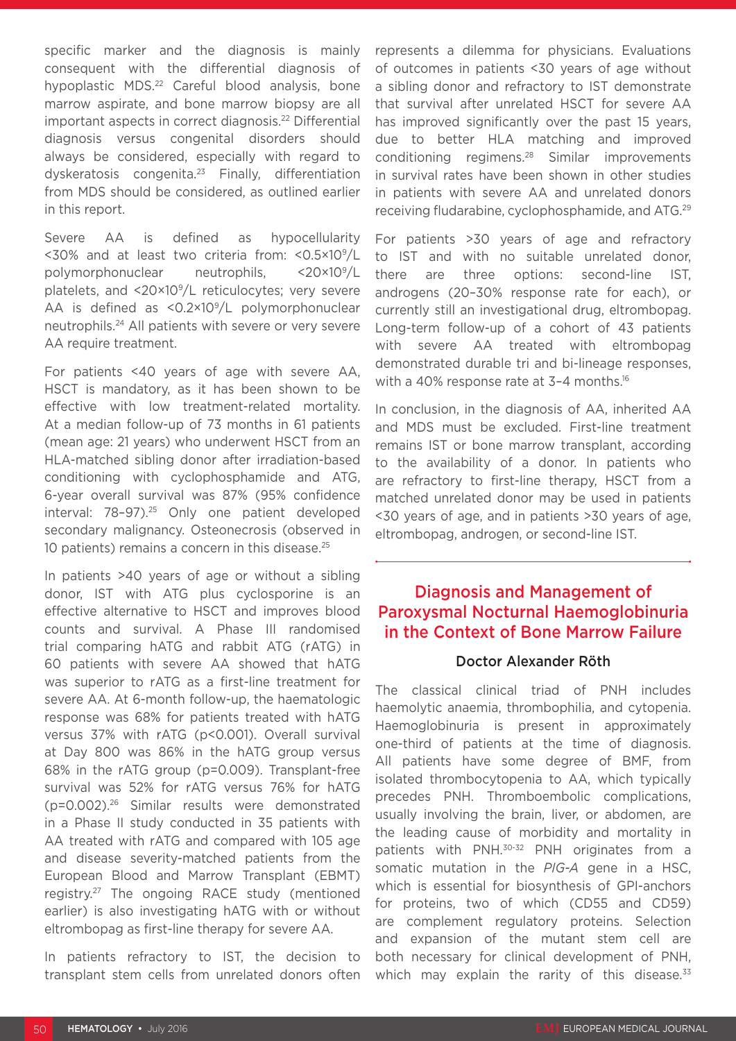specific marker and the diagnosis is mainly consequent with the differential diagnosis of hypoplastic MDS.<sup>22</sup> Careful blood analysis, bone marrow aspirate, and bone marrow biopsy are all important aspects in correct diagnosis.<sup>22</sup> Differential diagnosis versus congenital disorders should always be considered, especially with regard to dyskeratosis congenita.23 Finally, differentiation from MDS should be considered, as outlined earlier in this report.

Severe AA is defined as hypocellularity <30% and at least two criteria from: <0.5×109/L polymorphonuclear neutrophils, <20×109/L platelets, and <20×109/L reticulocytes; very severe AA is defined as <0.2×10<sup>9</sup>/L polymorphonuclear neutrophils.24 All patients with severe or very severe AA require treatment.

For patients <40 years of age with severe AA, HSCT is mandatory, as it has been shown to be effective with low treatment-related mortality. At a median follow-up of 73 months in 61 patients (mean age: 21 years) who underwent HSCT from an HLA-matched sibling donor after irradiation-based conditioning with cyclophosphamide and ATG, 6-year overall survival was 87% (95% confidence interval: 78–97).25 Only one patient developed secondary malignancy. Osteonecrosis (observed in 10 patients) remains a concern in this disease.<sup>25</sup>

In patients >40 years of age or without a sibling donor, IST with ATG plus cyclosporine is an effective alternative to HSCT and improves blood counts and survival. A Phase III randomised trial comparing hATG and rabbit ATG (rATG) in 60 patients with severe AA showed that hATG was superior to rATG as a first-line treatment for severe AA. At 6-month follow-up, the haematologic response was 68% for patients treated with hATG versus 37% with rATG (p<0.001). Overall survival at Day 800 was 86% in the hATG group versus 68% in the rATG group (p=0.009). Transplant-free survival was 52% for rATG versus 76% for hATG (p=0.002).26 Similar results were demonstrated in a Phase II study conducted in 35 patients with AA treated with rATG and compared with 105 age and disease severity-matched patients from the European Blood and Marrow Transplant (EBMT) registry.27 The ongoing RACE study (mentioned earlier) is also investigating hATG with or without eltrombopag as first-line therapy for severe AA.

In patients refractory to IST, the decision to transplant stem cells from unrelated donors often represents a dilemma for physicians. Evaluations of outcomes in patients <30 years of age without a sibling donor and refractory to IST demonstrate that survival after unrelated HSCT for severe AA has improved significantly over the past 15 years, due to better HLA matching and improved conditioning regimens.28 Similar improvements in survival rates have been shown in other studies in patients with severe AA and unrelated donors receiving fludarabine, cyclophosphamide, and ATG.29

For patients >30 years of age and refractory to IST and with no suitable unrelated donor, there are three options: second-line IST, androgens (20–30% response rate for each), or currently still an investigational drug, eltrombopag. Long-term follow-up of a cohort of 43 patients with severe AA treated with eltrombopag demonstrated durable tri and bi-lineage responses, with a 40% response rate at 3-4 months.<sup>16</sup>

In conclusion, in the diagnosis of AA, inherited AA and MDS must be excluded. First-line treatment remains IST or bone marrow transplant, according to the availability of a donor. In patients who are refractory to first-line therapy, HSCT from a matched unrelated donor may be used in patients <30 years of age, and in patients >30 years of age, eltrombopag, androgen, or second-line IST.

## Diagnosis and Management of Paroxysmal Nocturnal Haemoglobinuria in the Context of Bone Marrow Failure

### Doctor Alexander Röth

The classical clinical triad of PNH includes haemolytic anaemia, thrombophilia, and cytopenia. Haemoglobinuria is present in approximately one-third of patients at the time of diagnosis. All patients have some degree of BMF, from isolated thrombocytopenia to AA, which typically precedes PNH. Thromboembolic complications, usually involving the brain, liver, or abdomen, are the leading cause of morbidity and mortality in patients with PNH.30-32 PNH originates from a somatic mutation in the *PIG-A* gene in a HSC, which is essential for biosynthesis of GPI-anchors for proteins, two of which (CD55 and CD59) are complement regulatory proteins. Selection and expansion of the mutant stem cell are both necessary for clinical development of PNH, which may explain the rarity of this disease. $33$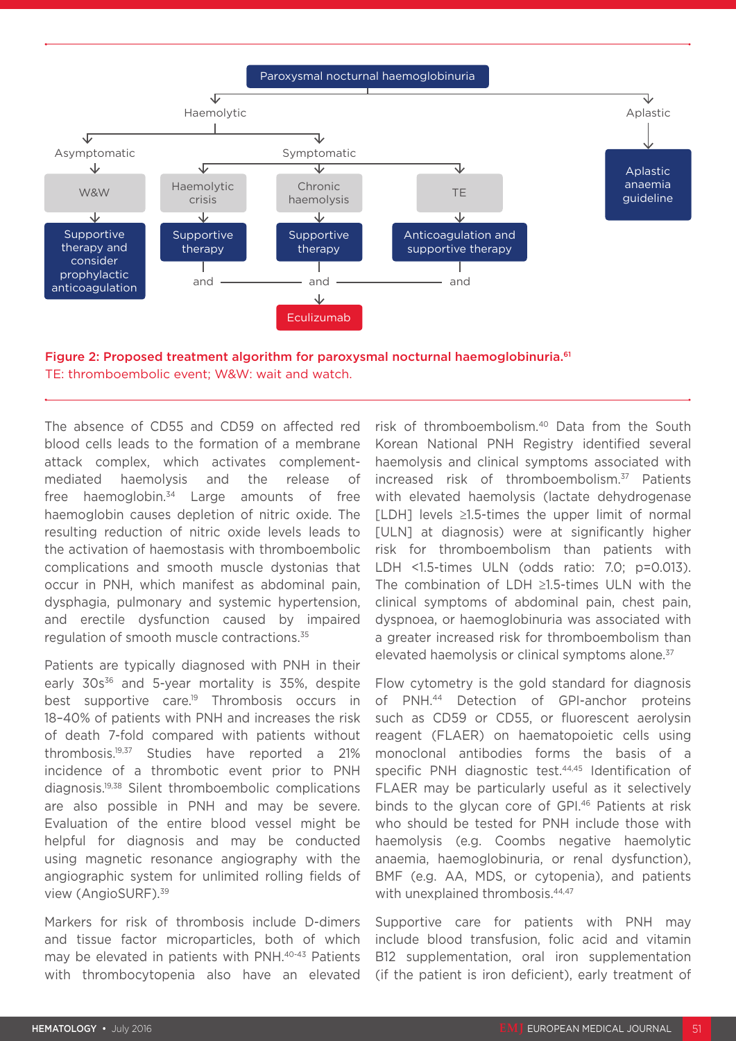



The absence of CD55 and CD59 on affected red blood cells leads to the formation of a membrane attack complex, which activates complementmediated haemolysis and the release of free haemoglobin.<sup>34</sup> Large amounts of free haemoglobin causes depletion of nitric oxide. The resulting reduction of nitric oxide levels leads to the activation of haemostasis with thromboembolic complications and smooth muscle dystonias that occur in PNH, which manifest as abdominal pain, dysphagia, pulmonary and systemic hypertension, and erectile dysfunction caused by impaired regulation of smooth muscle contractions.35

Patients are typically diagnosed with PNH in their early  $30s^{36}$  and 5-year mortality is 35%, despite best supportive care.<sup>19</sup> Thrombosis occurs in 18–40% of patients with PNH and increases the risk of death 7-fold compared with patients without thrombosis.19,37 Studies have reported a 21% incidence of a thrombotic event prior to PNH diagnosis.19,38 Silent thromboembolic complications are also possible in PNH and may be severe. Evaluation of the entire blood vessel might be helpful for diagnosis and may be conducted using magnetic resonance angiography with the angiographic system for unlimited rolling fields of view (AngioSURF).39

Markers for risk of thrombosis include D-dimers and tissue factor microparticles, both of which may be elevated in patients with PNH.<sup>40-43</sup> Patients with thrombocytopenia also have an elevated

risk of thromboembolism.40 Data from the South Korean National PNH Registry identified several haemolysis and clinical symptoms associated with increased risk of thromboembolism.37 Patients with elevated haemolysis (lactate dehydrogenase [LDH] levels ≥1.5-times the upper limit of normal [ULN] at diagnosis) were at significantly higher risk for thromboembolism than patients with LDH <1.5-times ULN (odds ratio: 7.0; p=0.013). The combination of LDH ≥1.5-times ULN with the clinical symptoms of abdominal pain, chest pain, dyspnoea, or haemoglobinuria was associated with a greater increased risk for thromboembolism than elevated haemolysis or clinical symptoms alone.<sup>37</sup>

Flow cytometry is the gold standard for diagnosis of PNH.44 Detection of GPI-anchor proteins such as CD59 or CD55, or fluorescent aerolysin reagent (FLAER) on haematopoietic cells using monoclonal antibodies forms the basis of a specific PNH diagnostic test.44,45 Identification of FLAER may be particularly useful as it selectively binds to the glycan core of GPI.<sup>46</sup> Patients at risk who should be tested for PNH include those with haemolysis (e.g. Coombs negative haemolytic anaemia, haemoglobinuria, or renal dysfunction), BMF (e.g. AA, MDS, or cytopenia), and patients with unexplained thrombosis.<sup>44,47</sup>

Supportive care for patients with PNH may include blood transfusion, folic acid and vitamin B12 supplementation, oral iron supplementation (if the patient is iron deficient), early treatment of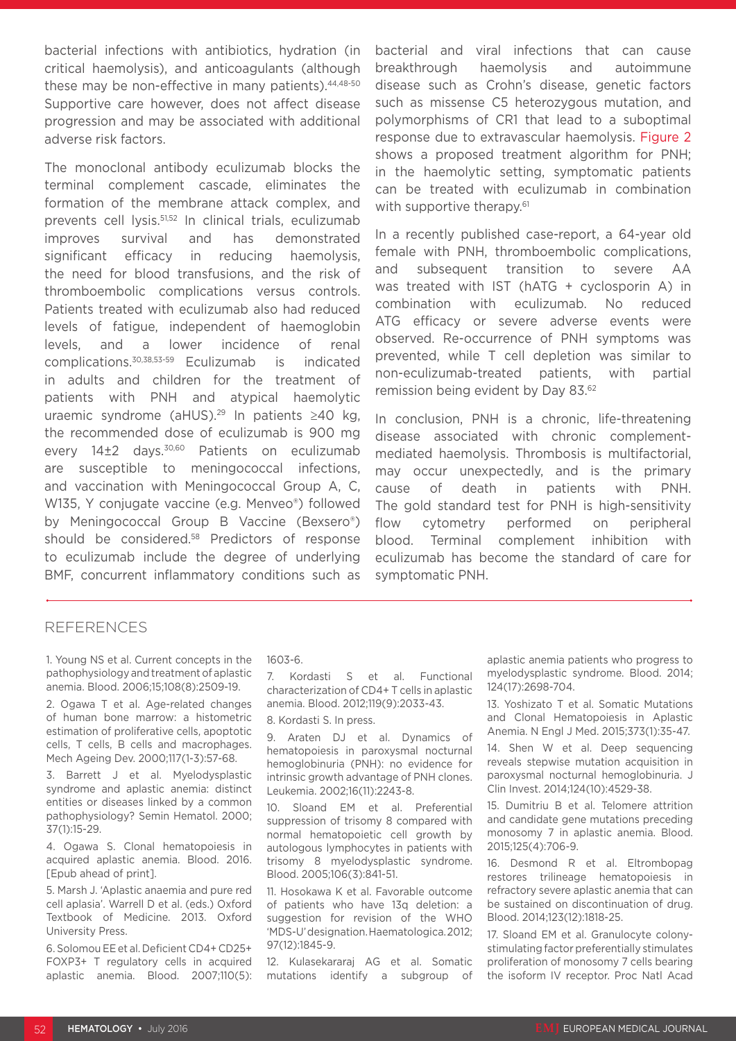bacterial infections with antibiotics, hydration (in critical haemolysis), and anticoagulants (although these may be non-effective in many patients). 44,48-50 Supportive care however, does not affect disease progression and may be associated with additional adverse risk factors.

The monoclonal antibody eculizumab blocks the terminal complement cascade, eliminates the formation of the membrane attack complex, and prevents cell lysis.<sup>51,52</sup> In clinical trials, eculizumab improves survival and has demonstrated significant efficacy in reducing haemolysis, the need for blood transfusions, and the risk of thromboembolic complications versus controls. Patients treated with eculizumab also had reduced levels of fatigue, independent of haemoglobin levels, and a lower incidence of renal complications.30,38,53-59 Eculizumab is indicated in adults and children for the treatment of patients with PNH and atypical haemolytic uraemic syndrome (aHUS).29 In patients ≥40 kg, the recommended dose of eculizumab is 900 mg every 14±2 days.<sup>30,60</sup> Patients on eculizumab are susceptible to meningococcal infections, and vaccination with Meningococcal Group A, C, W135, Y conjugate vaccine (e.g. Menveo®) followed by Meningococcal Group B Vaccine (Bexsero®) should be considered.58 Predictors of response to eculizumab include the degree of underlying BMF, concurrent inflammatory conditions such as

bacterial and viral infections that can cause breakthrough haemolysis and autoimmune disease such as Crohn's disease, genetic factors such as missense C5 heterozygous mutation, and polymorphisms of CR1 that lead to a suboptimal response due to extravascular haemolysis. Figure 2 shows a proposed treatment algorithm for PNH; in the haemolytic setting, symptomatic patients can be treated with eculizumab in combination with supportive therapy.<sup>61</sup>

In a recently published case-report, a 64-year old female with PNH, thromboembolic complications, and subsequent transition to severe AA was treated with IST (hATG + cyclosporin A) in combination with eculizumab. No reduced ATG efficacy or severe adverse events were observed. Re-occurrence of PNH symptoms was prevented, while T cell depletion was similar to non-eculizumab-treated patients, with partial remission being evident by Day 83.62

In conclusion, PNH is a chronic, life-threatening disease associated with chronic complementmediated haemolysis. Thrombosis is multifactorial, may occur unexpectedly, and is the primary cause of death in patients with PNH. The gold standard test for PNH is high-sensitivity flow cytometry performed on peripheral blood. Terminal complement inhibition with eculizumab has become the standard of care for symptomatic PNH.

#### REFERENCES

1. Young NS et al. Current concepts in the pathophysiology and treatment of aplastic anemia. Blood. 2006;15;108(8):2509-19.

2. Ogawa T et al. Age-related changes of human bone marrow: a histometric estimation of proliferative cells, apoptotic cells, T cells, B cells and macrophages. Mech Ageing Dev. 2000;117(1-3):57-68.

3. Barrett J et al. Myelodysplastic syndrome and aplastic anemia: distinct entities or diseases linked by a common pathophysiology? Semin Hematol. 2000; 37(1):15-29.

4. Ogawa S. Clonal hematopoiesis in acquired aplastic anemia. Blood. 2016. [Epub ahead of print].

5. Marsh J. 'Aplastic anaemia and pure red cell aplasia'. Warrell D et al. (eds.) Oxford Textbook of Medicine. 2013. Oxford University Press.

6. Solomou EE et al. Deficient CD4+ CD25+ FOXP3+ T regulatory cells in acquired aplastic anemia. Blood. 2007;110(5):

#### 1603-6.

7. Kordasti S et al. Functional characterization of CD4+ T cells in aplastic anemia. Blood. 2012;119(9):2033-43.

8. Kordasti S. In press.

9. Araten DJ et al. Dynamics of hematopoiesis in paroxysmal nocturnal hemoglobinuria (PNH): no evidence for intrinsic growth advantage of PNH clones. Leukemia. 2002;16(11):2243-8.

10. Sloand EM et al. Preferential suppression of trisomy 8 compared with normal hematopoietic cell growth by autologous lymphocytes in patients with trisomy 8 myelodysplastic syndrome. Blood. 2005;106(3):841-51.

11. Hosokawa K et al. Favorable outcome of patients who have 13q deletion: a suggestion for revision of the WHO 'MDS-U' designation. Haematologica. 2012; 97(12):1845-9.

12. Kulasekararaj AG et al. Somatic mutations identify a subgroup of aplastic anemia patients who progress to myelodysplastic syndrome. Blood. 2014; 124(17):2698-704.

13. Yoshizato T et al. Somatic Mutations and Clonal Hematopoiesis in Aplastic Anemia. N Engl J Med. 2015;373(1):35-47.

14. Shen W et al. Deep sequencing reveals stepwise mutation acquisition in paroxysmal nocturnal hemoglobinuria. J Clin Invest. 2014;124(10):4529-38.

15. Dumitriu B et al. Telomere attrition and candidate gene mutations preceding monosomy 7 in aplastic anemia. Blood. 2015;125(4):706-9.

16. Desmond R et al. Eltrombopag restores trilineage hematopoiesis in refractory severe aplastic anemia that can be sustained on discontinuation of drug. Blood. 2014;123(12):1818-25.

17. Sloand EM et al. Granulocyte colonystimulating factor preferentially stimulates proliferation of monosomy 7 cells bearing the isoform IV receptor. Proc Natl Acad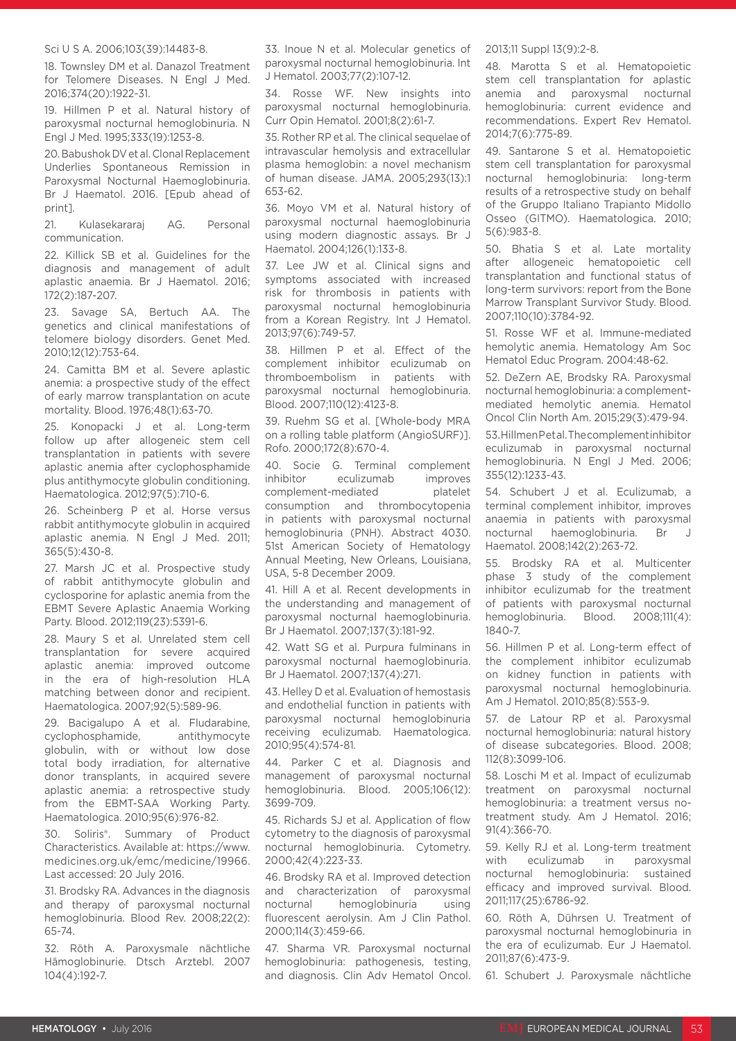#### Sci U S A. 2006;103(39):14483-8.

18. Townsley DM et al. Danazol Treatment for Telomere Diseases. N Engl J Med. 2016;374(20):1922-31.

19. Hillmen P et al. Natural history of paroxysmal nocturnal hemoglobinuria. N Engl J Med. 1995;333(19):1253-8.

20. Babushok DV et al. Clonal Replacement Underlies Spontaneous Remission in Paroxysmal Nocturnal Haemoglobinuria. Br J Haematol. 2016. [Epub ahead of print].

21. Kulasekararaj AG. Personal communication.

22. Killick SB et al. Guidelines for the diagnosis and management of adult aplastic anaemia. Br J Haematol. 2016; 172(2):187-207.

23. Savage SA, Bertuch AA. The genetics and clinical manifestations of telomere biology disorders. Genet Med. 2010;12(12):753-64.

24. Camitta BM et al. Severe aplastic anemia: a prospective study of the effect of early marrow transplantation on acute mortality. Blood. 1976;48(1):63-70.

25. Konopacki J et al. Long-term follow up after allogeneic stem cell transplantation in patients with severe aplastic anemia after cyclophosphamide plus antithymocyte globulin conditioning. Haematologica. 2012;97(5):710-6.

26. Scheinberg P et al. Horse versus rabbit antithymocyte globulin in acquired aplastic anemia. N Engl J Med. 2011; 365(5):430-8.

27. Marsh JC et al. Prospective study of rabbit antithymocyte globulin and cyclosporine for aplastic anemia from the EBMT Severe Aplastic Anaemia Working Party. Blood. 2012;119(23):5391-6.

28. Maury S et al. Unrelated stem cell transplantation for severe acquired aplastic anemia: improved outcome in the era of high-resolution HLA matching between donor and recipient. Haematologica. 2007;92(5):589-96.

29. Bacigalupo A et al. Fludarabine, cyclophosphamide, antithymocyte globulin, with or without low dose total body irradiation, for alternative donor transplants, in acquired severe aplastic anemia: a retrospective study from the EBMT-SAA Working Party. Haematologica. 2010;95(6):976-82.

30. Soliris®. Summary of Product Characteristics. Available at: https://www. medicines.org.uk/emc/medicine/19966. Last accessed: 20 July 2016.

31. Brodsky RA. Advances in the diagnosis and therapy of paroxysmal nocturnal hemoglobinuria. Blood Rev. 2008;22(2): 65-74.

32. Röth A. Paroxysmale nächtliche Hämoglobinurie. Dtsch Arztebl. 2007 104(4):192-7.

33. Inoue N et al. Molecular genetics of paroxysmal nocturnal hemoglobinuria. Int J Hematol. 2003;77(2):107-12.

34. Rosse WF. New insights into paroxysmal nocturnal hemoglobinuria. Curr Opin Hematol. 2001;8(2):61-7.

35. Rother RP et al. The clinical sequelae of intravascular hemolysis and extracellular plasma hemoglobin: a novel mechanism of human disease. JAMA. 2005;293(13):1 653-62.

36. Moyo VM et al. Natural history of paroxysmal nocturnal haemoglobinuria using modern diagnostic assays. Br J Haematol. 2004;126(1):133-8.

37. Lee JW et al. Clinical signs and symptoms associated with increased risk for thrombosis in patients with paroxysmal nocturnal hemoglobinuria from a Korean Registry. Int J Hematol. 2013;97(6):749-57.

38. Hillmen P et al. Effect of the complement inhibitor eculizumab on thromboembolism in patients with paroxysmal nocturnal hemoglobinuria. Blood. 2007;110(12):4123-8.

39. Ruehm SG et al. [Whole-body MRA on a rolling table platform (AngioSURF)]. Rofo. 2000;172(8):670-4.

40. Socie G. Terminal complement inhibitor eculizumab improves complement-mediated platelet consumption and thrombocytopenia in patients with paroxysmal nocturnal hemoglobinuria (PNH). Abstract 4030. 51st American Society of Hematology Annual Meeting, New Orleans, Louisiana, USA, 5-8 December 2009.

41. Hill A et al. Recent developments in the understanding and management of paroxysmal nocturnal haemoglobinuria. Br J Haematol. 2007;137(3):181-92.

42. Watt SG et al. Purpura fulminans in paroxysmal nocturnal haemoglobinuria. Br J Haematol. 2007;137(4):271.

43. Helley D et al. Evaluation of hemostasis and endothelial function in patients with paroxysmal nocturnal hemoglobinuria receiving eculizumab. Haematologica. 2010;95(4):574-81.

44. Parker C et al. Diagnosis and management of paroxysmal nocturnal hemoglobinuria. Blood. 2005;106(12): 3699-709.

45. Richards SJ et al. Application of flow cytometry to the diagnosis of paroxysmal nocturnal hemoglobinuria. Cytometry. 2000;42(4):223-33.

46. Brodsky RA et al. Improved detection and characterization of paroxysmal nocturnal hemoglobinuria using fluorescent aerolysin. Am J Clin Pathol. 2000;114(3):459-66.

47. Sharma VR. Paroxysmal nocturnal hemoglobinuria: pathogenesis, testing, and diagnosis. Clin Adv Hematol Oncol.

#### 2013;11 Suppl 13(9):2-8.

48. Marotta S et al. Hematopoietic stem cell transplantation for aplastic anemia and paroxysmal nocturnal hemoglobinuria: current evidence and recommendations. Expert Rev Hematol. 2014;7(6):775-89.

49. Santarone S et al. Hematopoietic stem cell transplantation for paroxysmal nocturnal hemoglobinuria: long-term results of a retrospective study on behalf of the Gruppo Italiano Trapianto Midollo Osseo (GITMO). Haematologica. 2010; 5(6):983-8.

50. Bhatia S et al. Late mortality after allogeneic hematopoietic cell transplantation and functional status of long-term survivors: report from the Bone Marrow Transplant Survivor Study. Blood. 2007;110(10):3784-92.

51. Rosse WF et al. Immune-mediated hemolytic anemia. Hematology Am Soc Hematol Educ Program. 2004:48-62.

52. DeZern AE, Brodsky RA. Paroxysmal nocturnal hemoglobinuria: a complementmediated hemolytic anemia. Hematol Oncol Clin North Am. 2015;29(3):479-94.

53. Hillmen P et al. The complement inhibitor eculizumab in paroxysmal nocturnal hemoglobinuria. N Engl J Med. 2006; 355(12):1233-43.

54. Schubert J et al. Eculizumab, a terminal complement inhibitor, improves anaemia in patients with paroxysmal nocturnal haemoglobinuria. Br J Haematol. 2008;142(2):263-72.

55. Brodsky RA et al. Multicenter phase 3 study of the complement inhibitor eculizumab for the treatment of patients with paroxysmal nocturnal hemoglobinuria. Blood. 2008;111(4): 1840-7.

56. Hillmen P et al. Long-term effect of the complement inhibitor eculizumab on kidney function in patients with paroxysmal nocturnal hemoglobinuria. Am J Hematol. 2010;85(8):553-9.

57. de Latour RP et al. Paroxysmal nocturnal hemoglobinuria: natural history of disease subcategories. Blood. 2008; 112(8):3099-106.

58. Loschi M et al. Impact of eculizumab treatment on paroxysmal nocturnal hemoglobinuria: a treatment versus notreatment study. Am J Hematol. 2016; 91(4):366-70.

59. Kelly RJ et al. Long-term treatment with eculizumab in paroxysmal nocturnal hemoglobinuria: sustained efficacy and improved survival. Blood. 2011;117(25):6786-92.

60. Röth A, Dührsen U. Treatment of paroxysmal nocturnal hemoglobinuria in the era of eculizumab. Eur J Haematol. 2011;87(6):473-9.

61. Schubert J. Paroxysmale nächtliche